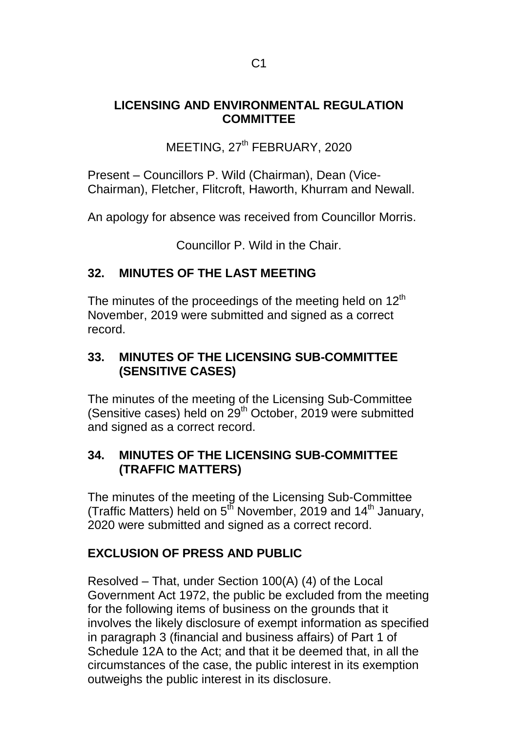### **LICENSING AND ENVIRONMENTAL REGULATION COMMITTEE**

MEETING, 27<sup>th</sup> FEBRUARY, 2020

Present – Councillors P. Wild (Chairman), Dean (Vice-Chairman), Fletcher, Flitcroft, Haworth, Khurram and Newall.

An apology for absence was received from Councillor Morris.

Councillor P. Wild in the Chair.

### **32. MINUTES OF THE LAST MEETING**

The minutes of the proceedings of the meeting held on 12<sup>th</sup> November, 2019 were submitted and signed as a correct record.

### **33. MINUTES OF THE LICENSING SUB-COMMITTEE (SENSITIVE CASES)**

The minutes of the meeting of the Licensing Sub-Committee (Sensitive cases) held on  $29<sup>th</sup>$  October, 2019 were submitted and signed as a correct record.

### **34. MINUTES OF THE LICENSING SUB-COMMITTEE (TRAFFIC MATTERS)**

The minutes of the meeting of the Licensing Sub-Committee (Traffic Matters) held on  $5^{th}$  November, 2019 and 14<sup>th</sup> January, 2020 were submitted and signed as a correct record.

# **EXCLUSION OF PRESS AND PUBLIC**

Resolved – That, under Section 100(A) (4) of the Local Government Act 1972, the public be excluded from the meeting for the following items of business on the grounds that it involves the likely disclosure of exempt information as specified in paragraph 3 (financial and business affairs) of Part 1 of Schedule 12A to the Act; and that it be deemed that, in all the circumstances of the case, the public interest in its exemption outweighs the public interest in its disclosure.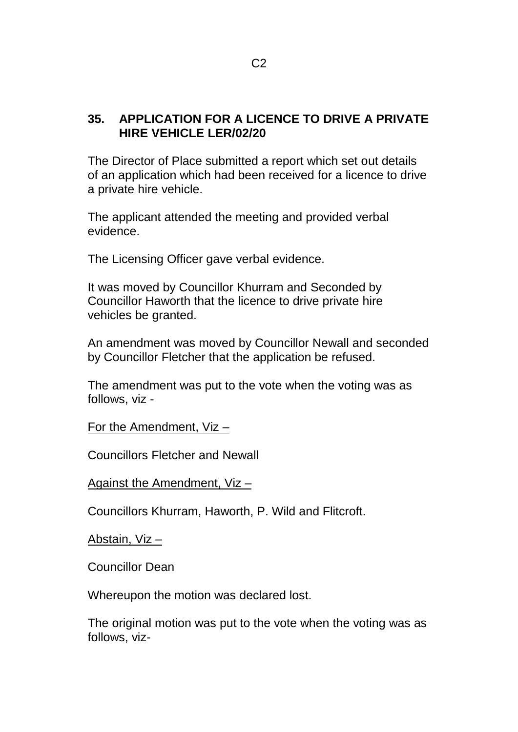### **35. APPLICATION FOR A LICENCE TO DRIVE A PRIVATE HIRE VEHICLE LER/02/20**

The Director of Place submitted a report which set out details of an application which had been received for a licence to drive a private hire vehicle.

The applicant attended the meeting and provided verbal evidence.

The Licensing Officer gave verbal evidence.

It was moved by Councillor Khurram and Seconded by Councillor Haworth that the licence to drive private hire vehicles be granted.

An amendment was moved by Councillor Newall and seconded by Councillor Fletcher that the application be refused.

The amendment was put to the vote when the voting was as follows, viz -

For the Amendment, Viz –

Councillors Fletcher and Newall

Against the Amendment, Viz –

Councillors Khurram, Haworth, P. Wild and Flitcroft.

Abstain, Viz –

Councillor Dean

Whereupon the motion was declared lost.

The original motion was put to the vote when the voting was as follows, viz-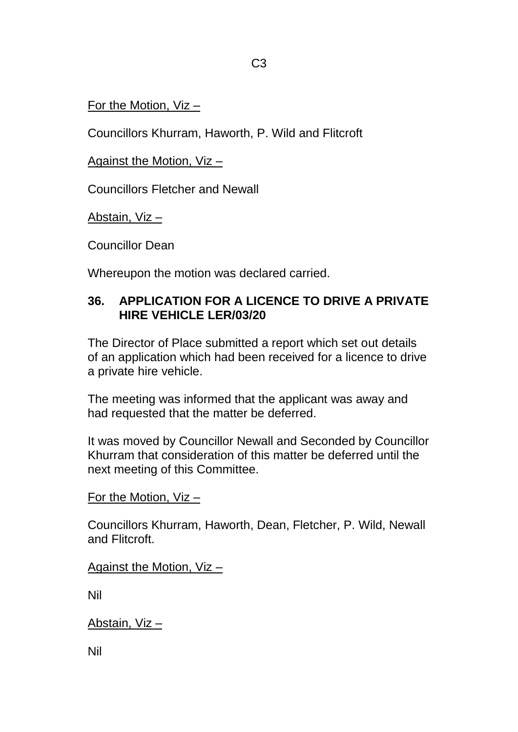# For the Motion, Viz –

Councillors Khurram, Haworth, P. Wild and Flitcroft

Against the Motion, Viz –

Councillors Fletcher and Newall

Abstain, Viz –

Councillor Dean

Whereupon the motion was declared carried.

### **36. APPLICATION FOR A LICENCE TO DRIVE A PRIVATE HIRE VEHICLE LER/03/20**

The Director of Place submitted a report which set out details of an application which had been received for a licence to drive a private hire vehicle.

The meeting was informed that the applicant was away and had requested that the matter be deferred.

It was moved by Councillor Newall and Seconded by Councillor Khurram that consideration of this matter be deferred until the next meeting of this Committee.

For the Motion, Viz –

Councillors Khurram, Haworth, Dean, Fletcher, P. Wild, Newall and Flitcroft.

Against the Motion, Viz –

Nil

Abstain, Viz –

Nil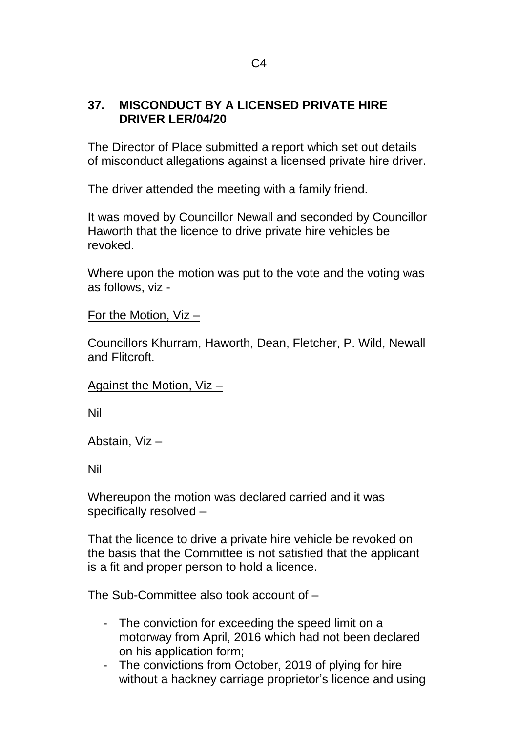### **37. MISCONDUCT BY A LICENSED PRIVATE HIRE DRIVER LER/04/20**

The Director of Place submitted a report which set out details of misconduct allegations against a licensed private hire driver.

The driver attended the meeting with a family friend.

It was moved by Councillor Newall and seconded by Councillor Haworth that the licence to drive private hire vehicles be revoked.

Where upon the motion was put to the vote and the voting was as follows, viz -

# For the Motion, Viz –

Councillors Khurram, Haworth, Dean, Fletcher, P. Wild, Newall and Flitcroft.

# Against the Motion, Viz –

Nil

Abstain, Viz –

Nil

Whereupon the motion was declared carried and it was specifically resolved –

That the licence to drive a private hire vehicle be revoked on the basis that the Committee is not satisfied that the applicant is a fit and proper person to hold a licence.

The Sub-Committee also took account of –

- The conviction for exceeding the speed limit on a motorway from April, 2016 which had not been declared on his application form;
- The convictions from October, 2019 of plying for hire without a hackney carriage proprietor's licence and using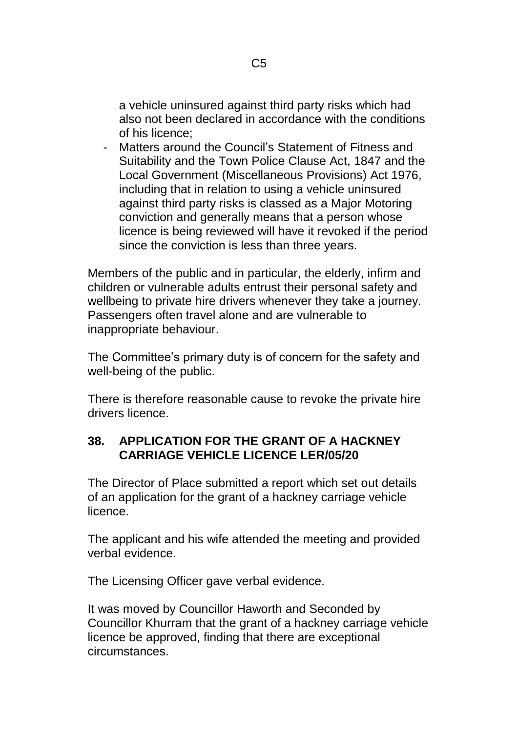a vehicle uninsured against third party risks which had also not been declared in accordance with the conditions of his licence;

- Matters around the Council's Statement of Fitness and Suitability and the Town Police Clause Act, 1847 and the Local Government (Miscellaneous Provisions) Act 1976, including that in relation to using a vehicle uninsured against third party risks is classed as a Major Motoring conviction and generally means that a person whose licence is being reviewed will have it revoked if the period since the conviction is less than three years.

Members of the public and in particular, the elderly, infirm and children or vulnerable adults entrust their personal safety and wellbeing to private hire drivers whenever they take a journey. Passengers often travel alone and are vulnerable to inappropriate behaviour.

The Committee's primary duty is of concern for the safety and well-being of the public.

There is therefore reasonable cause to revoke the private hire drivers licence.

#### **38. APPLICATION FOR THE GRANT OF A HACKNEY CARRIAGE VEHICLE LICENCE LER/05/20**

The Director of Place submitted a report which set out details of an application for the grant of a hackney carriage vehicle licence.

The applicant and his wife attended the meeting and provided verbal evidence.

The Licensing Officer gave verbal evidence.

It was moved by Councillor Haworth and Seconded by Councillor Khurram that the grant of a hackney carriage vehicle licence be approved, finding that there are exceptional circumstances.